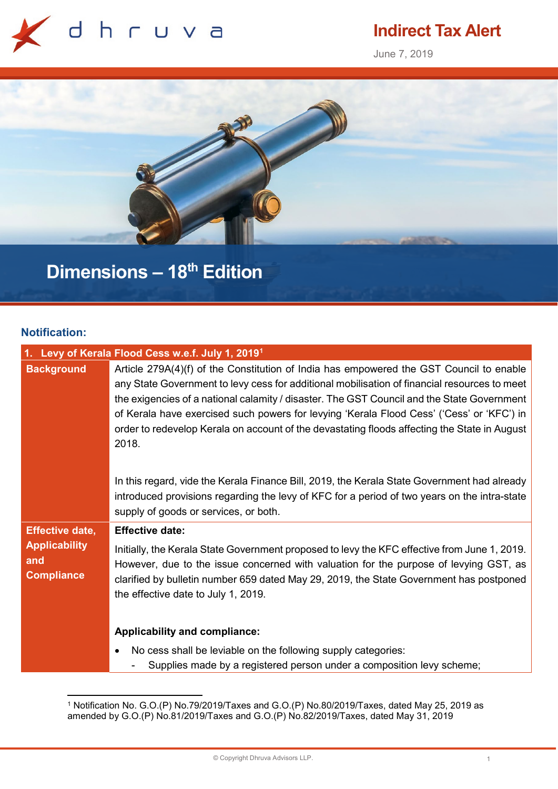

## **Indirect Tax Alert**

June 7, 2019



# **Dimensions – 18th Edition**

## **Notification:**

| 1. Levy of Kerala Flood Cess w.e.f. July 1, 2019 <sup>1</sup>              |                                                                                                                                                                                                                                                                                                                                                                                                                                                                                             |  |
|----------------------------------------------------------------------------|---------------------------------------------------------------------------------------------------------------------------------------------------------------------------------------------------------------------------------------------------------------------------------------------------------------------------------------------------------------------------------------------------------------------------------------------------------------------------------------------|--|
| <b>Background</b>                                                          | Article 279A(4)(f) of the Constitution of India has empowered the GST Council to enable<br>any State Government to levy cess for additional mobilisation of financial resources to meet<br>the exigencies of a national calamity / disaster. The GST Council and the State Government<br>of Kerala have exercised such powers for levying 'Kerala Flood Cess' ('Cess' or 'KFC') in<br>order to redevelop Kerala on account of the devastating floods affecting the State in August<br>2018. |  |
|                                                                            | In this regard, vide the Kerala Finance Bill, 2019, the Kerala State Government had already<br>introduced provisions regarding the levy of KFC for a period of two years on the intra-state<br>supply of goods or services, or both.                                                                                                                                                                                                                                                        |  |
| <b>Effective date,</b><br><b>Applicability</b><br>and<br><b>Compliance</b> | <b>Effective date:</b><br>Initially, the Kerala State Government proposed to levy the KFC effective from June 1, 2019.<br>However, due to the issue concerned with valuation for the purpose of levying GST, as<br>clarified by bulletin number 659 dated May 29, 2019, the State Government has postponed<br>the effective date to July 1, 2019.                                                                                                                                           |  |
|                                                                            | Applicability and compliance:<br>No cess shall be leviable on the following supply categories:<br>Supplies made by a registered person under a composition levy scheme;                                                                                                                                                                                                                                                                                                                     |  |

<span id="page-0-0"></span> <sup>1</sup> Notification No. G.O.(P) No.79/2019/Taxes and G.O.(P) No.80/2019/Taxes, dated May 25, 2019 as amended by G.O.(P) No.81/2019/Taxes and G.O.(P) No.82/2019/Taxes, dated May 31, 2019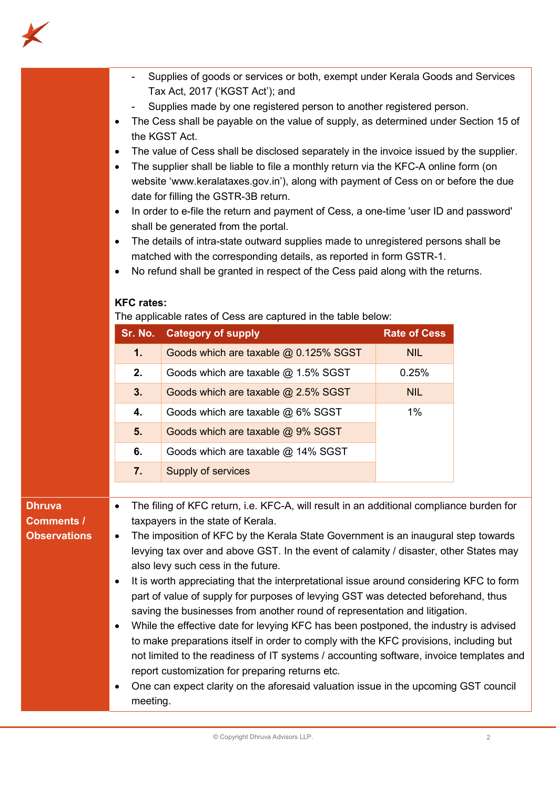

- Supplies of goods or services or both, exempt under Kerala Goods and Services Tax Act, 2017 ('KGST Act'); and
- Supplies made by one registered person to another registered person.
- The Cess shall be payable on the value of supply, as determined under Section 15 of the KGST Act.
- The value of Cess shall be disclosed separately in the invoice issued by the supplier.
- The supplier shall be liable to file a monthly return via the KFC-A online form (on website 'www.keralataxes.gov.in'), along with payment of Cess on or before the due date for filling the GSTR-3B return.
- In order to e-file the return and payment of Cess, a one-time 'user ID and password' shall be generated from the portal.
- The details of intra-state outward supplies made to unregistered persons shall be matched with the corresponding details, as reported in form GSTR-1.
- No refund shall be granted in respect of the Cess paid along with the returns.

### **KFC rates:**

The applicable rates of Cess are captured in the table below:

| Sr. No. | <b>Category of supply</b>             | <b>Rate of Cess</b> |
|---------|---------------------------------------|---------------------|
| 1.1     | Goods which are taxable @ 0.125% SGST | <b>NIL</b>          |
| 2.      | Goods which are taxable $@$ 1.5% SGST | 0.25%               |
| 3.      | Goods which are taxable @ 2.5% SGST   | <b>NIL</b>          |
| 4.      | Goods which are taxable @ 6% SGST     | $1\%$               |
| 5.      | Goods which are taxable @ 9% SGST     |                     |
| 6.      | Goods which are taxable @ 14% SGST    |                     |
| 7.      | Supply of services                    |                     |

## **Dhruva Comments / Observations**

- The filing of KFC return, i.e. KFC-A, will result in an additional compliance burden for taxpayers in the state of Kerala.
- The imposition of KFC by the Kerala State Government is an inaugural step towards levying tax over and above GST. In the event of calamity / disaster, other States may also levy such cess in the future.
- It is worth appreciating that the interpretational issue around considering KFC to form part of value of supply for purposes of levying GST was detected beforehand, thus saving the businesses from another round of representation and litigation.
- While the effective date for levying KFC has been postponed, the industry is advised to make preparations itself in order to comply with the KFC provisions, including but not limited to the readiness of IT systems / accounting software, invoice templates and report customization for preparing returns etc.
- One can expect clarity on the aforesaid valuation issue in the upcoming GST council meeting.